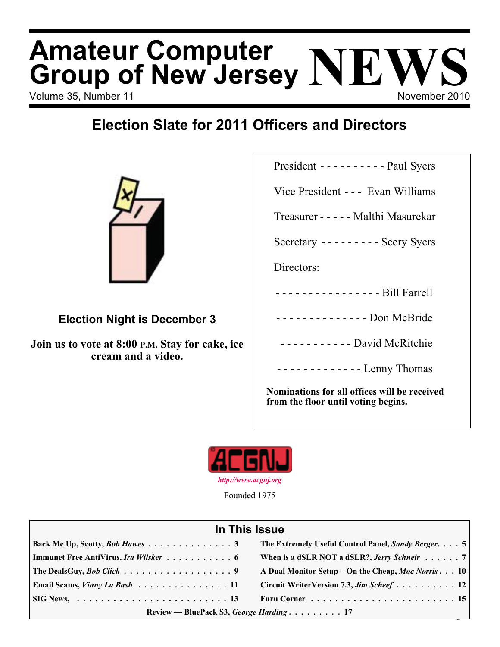# Volume 35, Number 11 November 2010 **Amateur Computer Group of New Jersey NEWS**

## **Election Slate for 2011 Officers and Directors**



### **Election Night is December 3**

**Join us to vote at 8:00 P.M. Stay for cake, ice cream and a video.**

President ---------- Paul Syers

Vice President - - - Evan Williams

Treasurer ----- Malthi Masurekar

Secretary --------- Seery Syers

Directors:

- ---------------- Bill Farrell
- - - - - - - - Don McBride
- ----------- David McRitchie

------------- Lenny Thomas

**Nominations for all offices will be received from the floor until voting begins.**



Founded 1975

#### **In This Issue**

| Back Me Up, Scotty, Bob Hawes 3                                                  | The Extremely Useful Control Panel, Sandy Berger. 5  |  |
|----------------------------------------------------------------------------------|------------------------------------------------------|--|
| Immunet Free AntiVirus, Ira Wilsker 6                                            | When is a dSLR NOT a dSLR?, Jerry Schneir $\ldots$ 7 |  |
| The DealsGuy, <i>Bob Click</i> 9                                                 | A Dual Monitor Setup – On the Cheap, Moe Norris 10   |  |
| Email Scams, <i>Vinny La Bash</i> $\ldots \ldots \ldots \ldots \ldots \ldots 11$ | Circuit WriterVersion 7.3, Jim Scheef 12             |  |
|                                                                                  |                                                      |  |
| Review — BluePack S3, George Harding 17                                          |                                                      |  |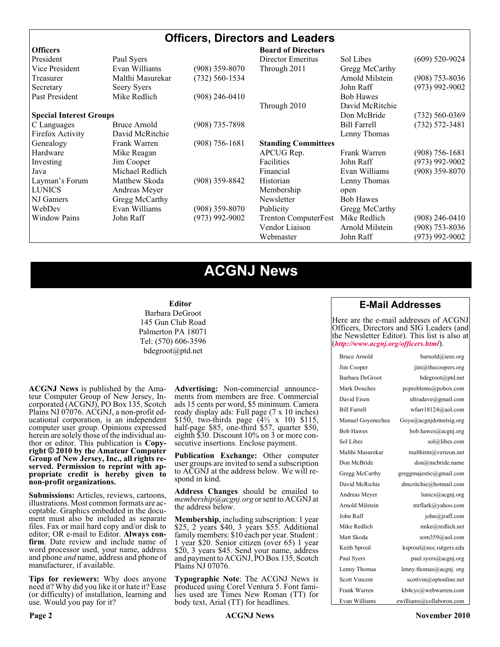#### **Officers, Directors and Leaders**

| <b>Officers</b>                |                  |                    | <b>Board of Directors</b>   |                     |                    |
|--------------------------------|------------------|--------------------|-----------------------------|---------------------|--------------------|
| President                      | Paul Syers       |                    | Director Emeritus           | Sol Libes           | $(609)$ 520-9024   |
| Vice President                 | Evan Williams    | $(908)$ 359-8070   | Through 2011                | Gregg McCarthy      |                    |
| Treasurer                      | Malthi Masurekar | $(732) 560 - 1534$ |                             | Arnold Milstein     | $(908)$ 753-8036   |
| Secretary                      | Seery Syers      |                    |                             | John Raff           | $(973)$ 992-9002   |
| Past President                 | Mike Redlich     | $(908)$ 246-0410   |                             | <b>Bob Hawes</b>    |                    |
|                                |                  |                    | Through 2010                | David McRitchie     |                    |
| <b>Special Interest Groups</b> |                  |                    |                             | Don McBride         | $(732) 560 - 0369$ |
| C Languages                    | Bruce Arnold     | $(908)$ 735-7898   |                             | <b>Bill Farrell</b> | $(732) 572 - 3481$ |
| Firefox Activity               | David McRitchie  |                    |                             | Lenny Thomas        |                    |
| Genealogy                      | Frank Warren     | $(908) 756 - 1681$ | <b>Standing Committees</b>  |                     |                    |
| Hardware                       | Mike Reagan      |                    | APCUG Rep.                  | Frank Warren        | $(908) 756 - 1681$ |
| Investing                      | Jim Cooper       |                    | Facilities                  | John Raff           | $(973)$ 992-9002   |
| Java                           | Michael Redlich  |                    | Financial                   | Evan Williams       | $(908)$ 359-8070   |
| Layman's Forum                 | Matthew Skoda    | (908) 359-8842     | Historian                   | Lenny Thomas        |                    |
| <b>LUNICS</b>                  | Andreas Meyer    |                    | Membership                  | open                |                    |
| NJ Gamers                      | Gregg McCarthy   |                    | Newsletter                  | <b>Bob Hawes</b>    |                    |
| WebDev                         | Evan Williams    | $(908)$ 359-8070   | Publicity                   | Gregg McCarthy      |                    |
| <b>Window Pains</b>            | John Raff        | $(973)$ 992-9002   | <b>Trenton ComputerFest</b> | Mike Redlich        | $(908)$ 246-0410   |
|                                |                  |                    | Vendor Liaison              | Arnold Milstein     | $(908)$ 753-8036   |
|                                |                  |                    | Webmaster                   | John Raff           | (973) 992-9002     |

### **ACGNJ News**

#### **Editor**

Barbara DeGroot 145 Gun Club Road Palmerton PA 18071 Tel: (570) 606-3596 bdegroot@ptd.net

**ACGNJ News** is published by the Ama- teur Computer Group of New Jersey, In- corporated (ACGNJ), PO Box 135, Scotch Plains NJ 07076. ACGNJ, a non-profit ed- ucational corporation, is an independent computer user group. Opinions expressed herein are solely those of the individual author or editor. This publication is **Copy-**<br>**right**  $\bigcirc$  2010 by the Amateur Computer<br>**Group of New Jersey, Inc., all rights re-Group of New Jersey, Inc., all rights re- served. Permission to reprint with ap- propriate credit is hereby given to non-profit organizations.**

**Submissions:** Articles, reviews, cartoons, illustrations. Most common formats are ac- ceptable. Graphics embedded in the docu- ment must also be included as separate files. Fax or mail hard copy and/or disk to editor; OR e-mail to Editor. Always confirm. Date review and include name of word processor used, your name, address and phone *and* name, address and phone of manufacturer, if available.

**Tips for reviewers:** Why does anyone need it? Why did you like it or hate it? Ease (or difficulty) of installation, learning and use. Would you pay for it?

**Advertising:** Non-commercial announce- ments from members are free. Commercial ads 15 cents per word, \$5 minimum. Camera ready display ads: Full page (7 x 10 inches) \$150, two-thirds page  $(4\frac{1}{2} \times 10)$  \$115, half-page \$85, one-third \$57, quarter \$50, eighth \$30. Discount 10% on 3 or more con- secutive insertions. Enclose payment.

**Publication Exchange:** Other computer user groups are invited to send a subscription to ACGNJ at the address below. We will re- spond in kind.

**Address Changes** should be emailed to *membership@acgnj.org* or sent to ACGNJ at the address below.

**Membership**, including subscription: 1 year \$25, 2 years \$40, 3 years \$55. Additional family members: \$10 each per year. Student : 1 year \$20. Senior citizen (over 65) 1 year \$20, 3 years \$45. Send your name, address and payment to ACGNJ, PO Box 135, Scotch Plains NJ 07076.

**Typographic Note**: The ACGNJ News is produced using Corel Ventura 5. Font fami- lies used are Times New Roman (TT) for body text, Arial (TT) for headlines.

#### **E-Mail Addresses**

Here are the e-mail addresses of ACGNJ Officers, Directors and SIG Leaders (and the Newsletter Editor). This list is also at (*<http://www.acgnj.org/officers.html>*).

| Bruce Arnold         | barnold@ieee.org                     |
|----------------------|--------------------------------------|
| Jim Cooper           | jim@thecoopers.org                   |
| Barbara DeGroot      | bdegroot@ptd.net                     |
| Mark Douches         | pcproblems@pobox.com                 |
| David Eisen          | ultradave@gmail.com                  |
| <b>Bill Farrell</b>  | wfarr18124@aol.com                   |
| Manuel Goyenechea    | Goya@acgnidotnetsig.org              |
| <b>Bob Hawes</b>     | bob.hawes@acgnj.org                  |
| Sol Libes            | sol@libes.com                        |
| Malthi Masurekar     | malthirm@verizon.net                 |
| Don McBride          | don@mcbride.name                     |
| Gregg McCarthy       | greggmajestic@gmail.com              |
| David McRichie       | dmcritchie@hotmail.com               |
| Andreas Meyer        | lunics@acgni.org                     |
| Arnold Milstein      | mrflark@yahoo.com                    |
| John Raff            | $\overline{\text{iohn}(a)}$ raff.com |
| Mike Redlich         | mike@redlich.net                     |
| Matt Skoda           | som359@aol.com                       |
| Keith Sproul         | ksproul@noc.rutgers.edu              |
| Paul Syers           | paul.syers@acgnj.org                 |
| Lenny Thomas         | lenny.thomas@acgnj.org               |
| <b>Scott Vincent</b> | scottvin@optonline.net               |
| Frank Warren         | kb4cyc@webwarren.com                 |
| Evan Williams        | ewilliams@collaboron.com             |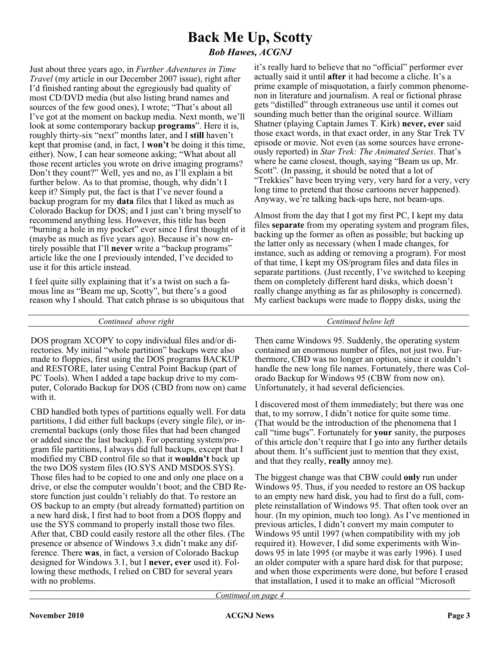## **Back Me Up, Scotty**

*Bob Hawes, ACGNJ*

Just about three years ago, in *Further Adventures in Time Travel* (my article in our December 2007 issue), right after I'd finished ranting about the egregiously bad quality of most CD/DVD media (but also listing brand names and sources of the few good ones), I wrote; "That's about all I've got at the moment on backup media. Next month, we'll look at some contemporary backup **programs**". Here it is, roughly thirty-six "next" months later, and I **still** haven't kept that promise (and, in fact, I **won't** be doing it this time, either). Now, I can hear someone asking; "What about all those recent articles you wrote on drive imaging programs? Don't they count?" Well, yes and no, as I'll explain a bit further below. As to that promise, though, why didn't I keep it? Simply put, the fact is that I've never found a backup program for my **data** files that I liked as much as Colorado Backup for DOS; and I just can't bring myself to recommend anything less. However, this title has been "burning a hole in my pocket" ever since I first thought of it (maybe as much as five years ago). Because it's now entirely possible that I'll **never** write a "backup programs" article like the one I previously intended, I've decided to use it for this article instead.

I feel quite silly explaining that it's a twist on such a famous line as "Beam me up, Scotty", but there's a good reason why I should. That catch phrase is so ubiquitous that

it's really hard to believe that no "official" performer ever actually said it until **after** it had become a cliche. It's a prime example of misquotation, a fairly common phenomenon in literature and journalism. A real or fictional phrase gets "distilled" through extraneous use until it comes out sounding much better than the original source. William Shatner (playing Captain James T. Kirk) **never, ever** said those exact words, in that exact order, in any Star Trek TV episode or movie. Not even (as some sources have erroneously reported) in *Star Trek: The Animated Series*. That's where he came closest, though, saying "Beam us up, Mr. Scott". (In passing, it should be noted that a lot of "Trekkies" have been trying very, very hard for a very, very long time to pretend that those cartoons never happened). Anyway, we're talking back-ups here, not beam-ups.

Almost from the day that I got my first PC, I kept my data files **separate** from my operating system and program files, backing up the former as often as possible; but backing up the latter only as necessary (when I made changes, for instance, such as adding or removing a program). For most of that time, I kept my OS/program files and data files in separate partitions. (Just recently, I've switched to keeping them on completely different hard disks, which doesn't really change anything as far as philosophy is concerned). My earliest backups were made to floppy disks, using the

*Continued above right Centinued below left*

DOS program XCOPY to copy individual files and/or directories. My initial "whole partition" backups were also made to floppies, first using the DOS programs BACKUP and RESTORE, later using Central Point Backup (part of PC Tools). When I added a tape backup drive to my computer, Colorado Backup for DOS (CBD from now on) came with it.

CBD handled both types of partitions equally well. For data partitions, I did either full backups (every single file), or incremental backups (only those files that had been changed or added since the last backup). For operating system/program file partitions, I always did full backups, except that I modified my CBD control file so that it **wouldn't** back up the two DOS system files (IO.SYS AND MSDOS.SYS). Those files had to be copied to one and only one place on a drive, or else the computer wouldn't boot; and the CBD Restore function just couldn't reliably do that. To restore an OS backup to an empty (but already formatted) partition on a new hard disk, I first had to boot from a DOS floppy and use the SYS command to properly install those two files. After that, CBD could easily restore all the other files. (The presence or absence of Windows 3.x didn't make any difference. There **was**, in fact, a version of Colorado Backup designed for Windows 3.1, but I **never, ever** used it). Following these methods, I relied on CBD for several years with no problems.

Then came Windows 95. Suddenly, the operating system contained an enormous number of files, not just two. Furthermore, CBD was no longer an option, since it couldn't handle the new long file names. Fortunately, there was Colorado Backup for Windows 95 (CBW from now on). Unfortunately, it had several deficiencies.

I discovered most of them immediately; but there was one that, to my sorrow, I didn't notice for quite some time. (That would be the introduction of the phenomena that I call "time bugs". Fortunately for **your** sanity, the purposes of this article don't require that I go into any further details about them. It's sufficient just to mention that they exist, and that they really, **really** annoy me).

The biggest change was that CBW could **only** run under Windows 95. Thus, if you needed to restore an OS backup to an empty new hard disk, you had to first do a full, complete reinstallation of Windows 95. That often took over an hour. (In my opinion, much too long). As I've mentioned in previous articles, I didn't convert my main computer to Windows 95 until 1997 (when compatibility with my job required it). However, I did some experiments with Windows 95 in late 1995 (or maybe it was early 1996). I used an older computer with a spare hard disk for that purpose; and when those experiments were done, but before I erased that installation, I used it to make an official "Microsoft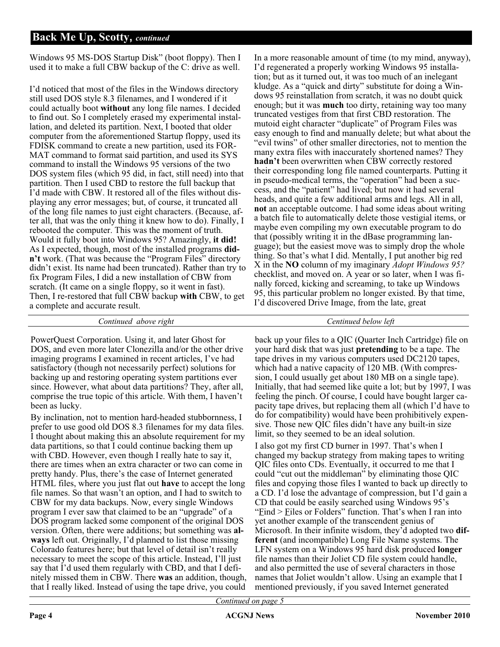#### **Back Me Up, Scotty,** *continued*

Windows 95 MS-DOS Startup Disk" (boot floppy). Then I used it to make a full CBW backup of the C: drive as well.

I'd noticed that most of the files in the Windows directory still used DOS style 8.3 filenames, and I wondered if it could actually boot **without** any long file names. I decided to find out. So I completely erased my experimental installation, and deleted its partition. Next, I booted that older computer from the aforementioned Startup floppy, used its FDISK command to create a new partition, used its FOR-MAT command to format said partition, and used its SYS command to install the Windows 95 versions of the two DOS system files (which 95 did, in fact, still need) into that partition. Then I used CBD to restore the full backup that I'd made with CBW. It restored all of the files without displaying any error messages; but, of course, it truncated all of the long file names to just eight characters. (Because, after all, that was the only thing it knew how to do). Finally, I rebooted the computer. This was the moment of truth. Would it fully boot into Windows 95? Amazingly, **it did!** As I expected, though, most of the installed programs **didn't** work. (That was because the "Program Files" directory didn't exist. Its name had been truncated). Rather than try to fix Program Files, I did a new installation of CBW from scratch. (It came on a single floppy, so it went in fast). Then, I re-restored that full CBW backup **with** CBW, to get a complete and accurate result.

In a more reasonable amount of time (to my mind, anyway), I'd regenerated a properly working Windows 95 installation; but as it turned out, it was too much of an inelegant kludge. As a "quick and dirty" substitute for doing a Windows 95 reinstallation from scratch, it was no doubt quick enough; but it was **much** too dirty, retaining way too many truncated vestiges from that first CBD restoration. The mutoid eight character "duplicate" of Program Files was easy enough to find and manually delete; but what about the "evil twins" of other smaller directories, not to mention the many extra files with inaccurately shortened names? They **hadn't** been overwritten when CBW correctly restored their corresponding long file named counterparts. Putting it in pseudo-medical terms, the "operation" had been a success, and the "patient" had lived; but now it had several heads, and quite a few additional arms and legs. All in all, **not** an acceptable outcome. I had some ideas about writing a batch file to automatically delete those vestigial items, or maybe even compiling my own executable program to do that (possibly writing it in the dBase programming language); but the easiest move was to simply drop the whole thing. So that's what I did. Mentally, I put another big red X in the **NO** column of my imaginary *Adopt Windows 95?* checklist, and moved on. A year or so later, when I was finally forced, kicking and screaming, to take up Windows 95, this particular problem no longer existed. By that time, I'd discovered Drive Image, from the late, great

*Continued above right Centinued below left*

PowerQuest Corporation. Using it, and later Ghost for DOS, and even more later Clonezilla and/or the other drive imaging programs I examined in recent articles, I've had satisfactory (though not necessarily perfect) solutions for backing up and restoring operating system partitions ever since. However, what about data partitions? They, after all, comprise the true topic of this article. With them, I haven't been as lucky.

By inclination, not to mention hard-headed stubbornness, I prefer to use good old DOS 8.3 filenames for my data files. I thought about making this an absolute requirement for my data partitions, so that I could continue backing them up with CBD. However, even though I really hate to say it, there are times when an extra character or two can come in pretty handy. Plus, there's the case of Internet generated HTML files, where you just flat out **have** to accept the long file names. So that wasn't an option, and I had to switch to CBW for my data backups. Now, every single Windows program I ever saw that claimed to be an "upgrade" of a DOS program lacked some component of the original DOS version. Often, there were additions; but something was **always** left out. Originally, I'd planned to list those missing Colorado features here; but that level of detail isn't really necessary to meet the scope of this article. Instead, I'll just say that I'd used them regularly with CBD, and that I definitely missed them in CBW. There **was** an addition, though, that I really liked. Instead of using the tape drive, you could

back up your files to a QIC (Quarter Inch Cartridge) file on your hard disk that was just **pretending** to be a tape. The tape drives in my various computers used DC2120 tapes, which had a native capacity of 120 MB. (With compression, I could usually get about 180 MB on a single tape). Initially, that had seemed like quite a lot; but by 1997, I was feeling the pinch. Of course, I could have bought larger capacity tape drives, but replacing them all (which I'd have to do for compatibility) would have been prohibitively expensive. Those new QIC files didn't have any built-in size limit, so they seemed to be an ideal solution.

I also got my first CD burner in 1997. That's when I changed my backup strategy from making tapes to writing QIC files onto CDs. Eventually, it occurred to me that I could "cut out the middleman" by eliminating those QIC files and copying those files I wanted to back up directly to a CD. I'd lose the advantage of compression, but I'd gain a CD that could be easily searched using Windows 95's "Find > Files or Folders" function. That's when I ran into yet another example of the transcendent genius of Microsoft. In their infinite wisdom, they'd adopted two **different** (and incompatible) Long File Name systems. The LFN system on a Windows 95 hard disk produced **longer** file names than their Joliet CD file system could handle, and also permitted the use of several characters in those names that Joliet wouldn't allow. Using an example that I mentioned previously, if you saved Internet generated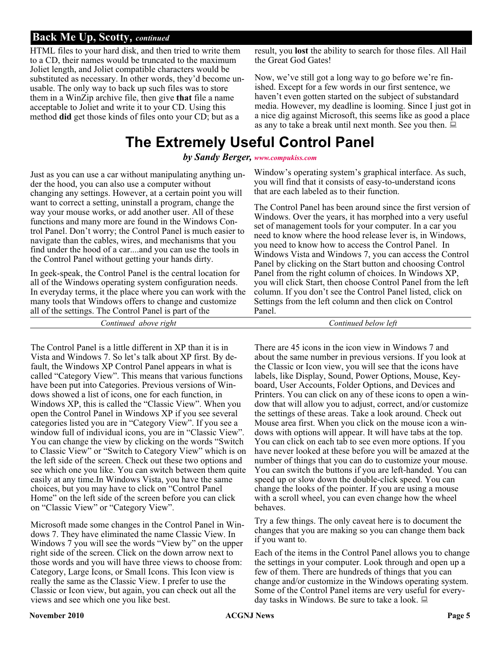#### **Back Me Up, Scotty,** *continued*

HTML files to your hard disk, and then tried to write them to a CD, their names would be truncated to the maximum Joliet length, and Joliet compatible characters would be substituted as necessary. In other words, they'd become unusable. The only way to back up such files was to store them in a WinZip archive file, then give **that** file a name acceptable to Joliet and write it to your CD. Using this method **did** get those kinds of files onto your CD; but as a

### **The Extremely Useful Control Panel**

*by Sandy Berger, [www.compukiss.com](http://www.compukiss.com)*

Just as you can use a car without manipulating anything under the hood, you can also use a computer without changing any settings. However, at a certain point you will want to correct a setting, uninstall a program, change the way your mouse works, or add another user. All of these functions and many more are found in the Windows Control Panel. Don't worry; the Control Panel is much easier to navigate than the cables, wires, and mechanisms that you find under the hood of a car....and you can use the tools in the Control Panel without getting your hands dirty.

In geek-speak, the Control Panel is the central location for all of the Windows operating system configuration needs. In everyday terms, it the place where you can work with the many tools that Windows offers to change and customize all of the settings. The Control Panel is part of the

*Continued above right Continued below left*

The Control Panel is a little different in XP than it is in Vista and Windows 7. So let's talk about XP first. By default, the Windows XP Control Panel appears in what is called "Category View". This means that various functions have been put into Categories. Previous versions of Windows showed a list of icons, one for each function, in Windows XP, this is called the "Classic View". When you open the Control Panel in Windows XP if you see several categories listed you are in "Category View". If you see a window full of individual icons, you are in "Classic View". You can change the view by clicking on the words "Switch to Classic View" or "Switch to Category View" which is on the left side of the screen. Check out these two options and see which one you like. You can switch between them quite easily at any time.In Windows Vista, you have the same choices, but you may have to click on "Control Panel Home" on the left side of the screen before you can click on "Classic View" or "Category View".

Microsoft made some changes in the Control Panel in Windows 7. They have eliminated the name Classic View. In Windows 7 you will see the words "View by" on the upper right side of the screen. Click on the down arrow next to those words and you will have three views to choose from: Category, Large Icons, or Small Icons. This Icon view is really the same as the Classic View. I prefer to use the Classic or Icon view, but again, you can check out all the views and see which one you like best.

result, you **lost** the ability to search for those files. All Hail the Great God Gates!

Now, we've still got a long way to go before we're finished. Except for a few words in our first sentence, we haven't even gotten started on the subject of substandard media. However, my deadline is looming. Since I just got in a nice dig against Microsoft, this seems like as good a place as any to take a break until next month. See you then.  $\Box$ 

Window's operating system's graphical interface. As such, you will find that it consists of easy-to-understand icons that are each labeled as to their function.

The Control Panel has been around since the first version of Windows. Over the years, it has morphed into a very useful set of management tools for your computer. In a car you need to know where the hood release lever is, in Windows, you need to know how to access the Control Panel. In Windows Vista and Windows 7, you can access the Control Panel by clicking on the Start button and choosing Control Panel from the right column of choices. In Windows XP, you will click Start, then choose Control Panel from the left column. If you don't see the Control Panel listed, click on Settings from the left column and then click on Control Panel.

There are 45 icons in the icon view in Windows 7 and about the same number in previous versions. If you look at the Classic or Icon view, you will see that the icons have labels, like Display, Sound, Power Options, Mouse, Keyboard, User Accounts, Folder Options, and Devices and Printers. You can click on any of these icons to open a window that will allow you to adjust, correct, and/or customize the settings of these areas. Take a look around. Check out Mouse area first. When you click on the mouse icon a windows with options will appear. It will have tabs at the top. You can click on each tab to see even more options. If you have never looked at these before you will be amazed at the number of things that you can do to customize your mouse. You can switch the buttons if you are left-handed. You can speed up or slow down the double-click speed. You can change the looks of the pointer. If you are using a mouse with a scroll wheel, you can even change how the wheel behaves.

Try a few things. The only caveat here is to document the changes that you are making so you can change them back if you want to.

Each of the items in the Control Panel allows you to change the settings in your computer. Look through and open up a few of them. There are hundreds of things that you can change and/or customize in the Windows operating system. Some of the Control Panel items are very useful for everyday tasks in Windows. Be sure to take a look.  $\Box$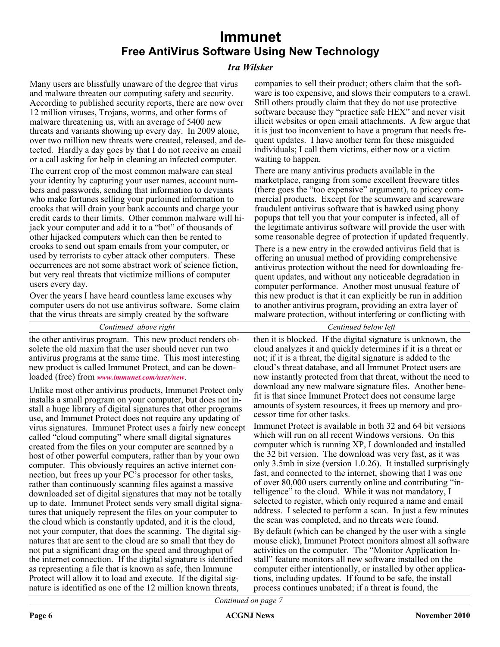### **Immunet Free AntiVirus Software Using New Technology**

#### *Ira Wilsker*

Many users are blissfully unaware of the degree that virus and malware threaten our computing safety and security. According to published security reports, there are now over 12 million viruses, Trojans, worms, and other forms of malware threatening us, with an average of 5400 new threats and variants showing up every day. In 2009 alone, over two million new threats were created, released, and detected. Hardly a day goes by that I do not receive an email or a call asking for help in cleaning an infected computer.

The current crop of the most common malware can steal your identity by capturing your user names, account numbers and passwords, sending that information to deviants who make fortunes selling your purloined information to crooks that will drain your bank accounts and charge your credit cards to their limits. Other common malware will hijack your computer and add it to a "bot" of thousands of other hijacked computers which can then be rented to crooks to send out spam emails from your computer, or used by terrorists to cyber attack other computers. These occurrences are not some abstract work of science fiction, but very real threats that victimize millions of computer users every day.

Over the years I have heard countless lame excuses why computer users do not use antivirus software. Some claim that the virus threats are simply created by the software

#### *Continued above right Centinued below left*

the other antivirus program. This new product renders obsolete the old maxim that the user should never run two antivirus programs at the same time. This most interesting new product is called Immunet Protect, and can be downloaded (free) from *[www.immunet.com/user/new](http://www.immunet.com/user/new)*.

Unlike most other antivirus products, Immunet Protect only installs a small program on your computer, but does not install a huge library of digital signatures that other programs use, and Immunet Protect does not require any updating of virus signatures. Immunet Protect uses a fairly new concept called "cloud computing" where small digital signatures created from the files on your computer are scanned by a host of other powerful computers, rather than by your own computer. This obviously requires an active internet connection, but frees up your PC's processor for other tasks, rather than continuously scanning files against a massive downloaded set of digital signatures that may not be totally up to date. Immunet Protect sends very small digital signatures that uniquely represent the files on your computer to the cloud which is constantly updated, and it is the cloud, not your computer, that does the scanning. The digital signatures that are sent to the cloud are so small that they do not put a significant drag on the speed and throughput of the internet connection. If the digital signature is identified as representing a file that is known as safe, then Immune Protect will allow it to load and execute. If the digital signature is identified as one of the 12 million known threats,

companies to sell their product; others claim that the software is too expensive, and slows their computers to a crawl. Still others proudly claim that they do not use protective software because they "practice safe HEX" and never visit illicit websites or open email attachments. A few argue that it is just too inconvenient to have a program that needs frequent updates. I have another term for these misguided individuals; I call them victims, either now or a victim waiting to happen.

There are many antivirus products available in the marketplace, ranging from some excellent freeware titles (there goes the "too expensive" argument), to pricey commercial products. Except for the scumware and scareware fraudulent antivirus software that is hawked using phony popups that tell you that your computer is infected, all of the legitimate antivirus software will provide the user with some reasonable degree of protection if updated frequently.

There is a new entry in the crowded antivirus field that is offering an unusual method of providing comprehensive antivirus protection without the need for downloading frequent updates, and without any noticeable degradation in computer performance. Another most unusual feature of this new product is that it can explicitly be run in addition to another antivirus program, providing an extra layer of malware protection, without interfering or conflicting with

then it is blocked. If the digital signature is unknown, the cloud analyzes it and quickly determines if it is a threat or not; if it is a threat, the digital signature is added to the cloud's threat database, and all Immunet Protect users are now instantly protected from that threat, without the need to download any new malware signature files. Another benefit is that since Immunet Protect does not consume large amounts of system resources, it frees up memory and processor time for other tasks.

Immunet Protect is available in both 32 and 64 bit versions which will run on all recent Windows versions. On this computer which is running XP, I downloaded and installed the 32 bit version. The download was very fast, as it was only 3.5mb in size (version 1.0.26). It installed surprisingly fast, and connected to the internet, showing that I was one of over 80,000 users currently online and contributing "intelligence" to the cloud. While it was not mandatory, I selected to register, which only required a name and email address. I selected to perform a scan. In just a few minutes the scan was completed, and no threats were found.

By default (which can be changed by the user with a single mouse click), Immunet Protect monitors almost all software activities on the computer. The "Monitor Application Install" feature monitors all new software installed on the computer either intentionally, or installed by other applications, including updates. If found to be safe, the install process continues unabated; if a threat is found, the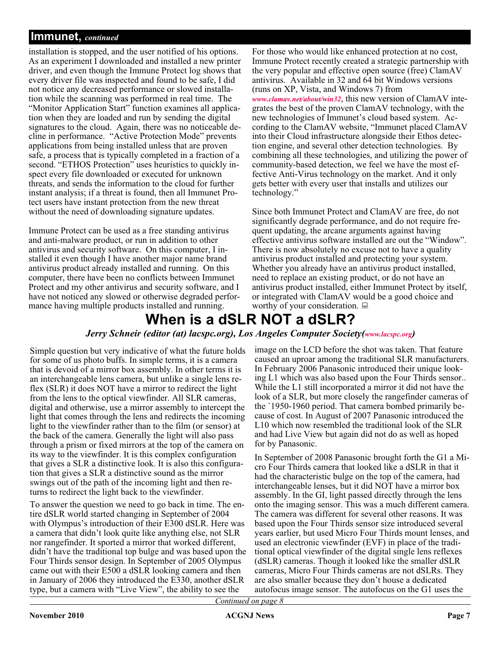#### **Immunet,** *continued*

installation is stopped, and the user notified of his options. As an experiment I downloaded and installed a new printer driver, and even though the Immune Protect log shows that every driver file was inspected and found to be safe, I did not notice any decreased performance or slowed installation while the scanning was performed in real time. The "Monitor Application Start" function examines all application when they are loaded and run by sending the digital signatures to the cloud. Again, there was no noticeable decline in performance. "Active Protection Mode" prevents applications from being installed unless that are proven safe, a process that is typically completed in a fraction of a second. "ETHOS Protection" uses heuristics to quickly inspect every file downloaded or executed for unknown threats, and sends the information to the cloud for further instant analysis; if a threat is found, then all Immunet Protect users have instant protection from the new threat without the need of downloading signature updates.

Immune Protect can be used as a free standing antivirus and anti-malware product, or run in addition to other antivirus and security software. On this computer, I installed it even though I have another major name brand antivirus product already installed and running. On this computer, there have been no conflicts between Immunet Protect and my other antivirus and security software, and I have not noticed any slowed or otherwise degraded performance having multiple products installed and running.

For those who would like enhanced protection at no cost, Immune Protect recently created a strategic partnership with the very popular and effective open source (free) ClamAV antivirus. Available in 32 and 64 bit Windows versions (runs on XP, Vista, and Windows 7) from *[www.clamav.net/about/win32](http://www.clamav.net/about/win32)*, this new version of ClamAV integrates the best of the proven ClamAV technology, with the new technologies of Immunet's cloud based system. According to the ClamAV website, "Immunet placed ClamAV into their Cloud infrastructure alongside their Ethos detection engine, and several other detection technologies. By combining all these technologies, and utilizing the power of community-based detection, we feel we have the most effective Anti-Virus technology on the market. And it only gets better with every user that installs and utilizes our technology."

Since both Immunet Protect and ClamAV are free, do not significantly degrade performance, and do not require frequent updating, the arcane arguments against having effective antivirus software installed are out the "Window". There is now absolutely no excuse not to have a quality antivirus product installed and protecting your system. Whether you already have an antivirus product installed, need to replace an existing product, or do not have an antivirus product installed, either Immunet Protect by itself, or integrated with ClamAV would be a good choice and worthy of your consideration.  $\Box$ 

### **When is a dSLR NOT a dSLR?**

#### *Jerry Schneir (editor (at) lacspc.org), Los Angeles Computer Society[\(www.lacspc.org\)](http://www.lacspc.org)*

Simple question but very indicative of what the future holds for some of us photo buffs. In simple terms, it is a camera that is devoid of a mirror box assembly. In other terms it is an interchangeable lens camera, but unlike a single lens reflex (SLR) it does NOT have a mirror to redirect the light from the lens to the optical viewfinder. All SLR cameras, digital and otherwise, use a mirror assembly to intercept the light that comes through the lens and redirects the incoming light to the viewfinder rather than to the film (or sensor) at the back of the camera. Generally the light will also pass through a prism or fixed mirrors at the top of the camera on its way to the viewfinder. It is this complex configuration that gives a SLR a distinctive look. It is also this configuration that gives a SLR a distinctive sound as the mirror swings out of the path of the incoming light and then returns to redirect the light back to the viewfinder.

To answer the question we need to go back in time. The entire dSLR world started changing in September of 2004 with Olympus's introduction of their E300 dSLR. Here was a camera that didn't look quite like anything else, not SLR nor rangefinder. It sported a mirror that worked different, didn't have the traditional top bulge and was based upon the Four Thirds sensor design. In September of 2005 Olympus came out with their E500 a dSLR looking camera and then in January of 2006 they introduced the E330, another dSLR type, but a camera with "Live View", the ability to see the

image on the LCD before the shot was taken. That feature caused an uproar among the traditional SLR manufacturers. In February 2006 Panasonic introduced their unique looking L1 which was also based upon the Four Thirds sensor.. While the L1 still incorporated a mirror it did not have the look of a SLR, but more closely the rangefinder cameras of the `1950-1960 period. That camera bombed primarily because of cost. In August of 2007 Panasonic introduced the L10 which now resembled the traditional look of the SLR and had Live View but again did not do as well as hoped for by Panasonic.

In September of 2008 Panasonic brought forth the G1 a Micro Four Thirds camera that looked like a dSLR in that it had the characteristic bulge on the top of the camera, had interchangeable lenses, but it did NOT have a mirror box assembly. In the GI, light passed directly through the lens onto the imaging sensor. This was a much different camera. The camera was different for several other reasons. It was based upon the Four Thirds sensor size introduced several years earlier, but used Micro Four Thirds mount lenses, and used an electronic viewfinder (EVF) in place of the traditional optical viewfinder of the digital single lens reflexes (dSLR) cameras. Though it looked like the smaller dSLR cameras, Micro Four Thirds cameras are not dSLRs. They are also smaller because they don't house a dedicated autofocus image sensor. The autofocus on the G1 uses the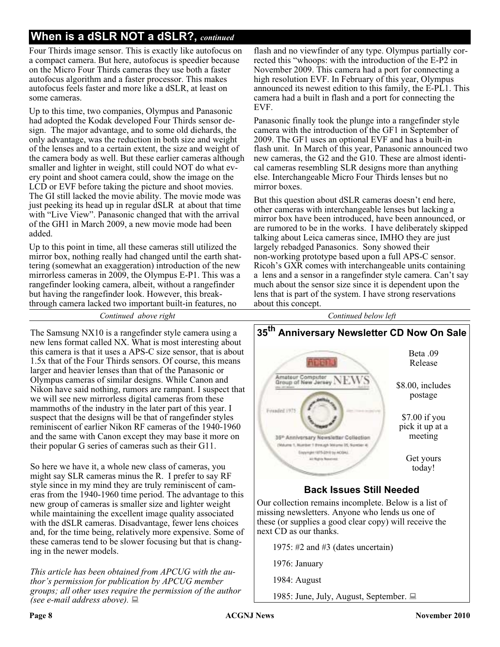### **When is a dSLR NOT a dSLR?,** *continued*

Four Thirds image sensor. This is exactly like autofocus on a compact camera. But here, autofocus is speedier because on the Micro Four Thirds cameras they use both a faster autofocus algorithm and a faster processor. This makes autofocus feels faster and more like a dSLR, at least on some cameras.

Up to this time, two companies, Olympus and Panasonic had adopted the Kodak developed Four Thirds sensor design. The major advantage, and to some old diehards, the only advantage, was the reduction in both size and weight of the lenses and to a certain extent, the size and weight of the camera body as well. But these earlier cameras although smaller and lighter in weight, still could NOT do what every point and shoot camera could, show the image on the LCD or EVF before taking the picture and shoot movies. The GI still lacked the movie ability. The movie mode was just peeking its head up in regular dSLR at about that time with "Live View". Panasonic changed that with the arrival of the GH1 in March 2009, a new movie mode had been added.

Up to this point in time, all these cameras still utilized the mirror box, nothing really had changed until the earth shattering (somewhat an exaggeration) introduction of the new mirrorless cameras in 2009, the Olympus E-P1. This was a rangefinder looking camera, albeit, without a rangefinder but having the rangefinder look. However, this breakthrough camera lacked two important built-in features, no

flash and no viewfinder of any type. Olympus partially corrected this "whoops: with the introduction of the E-P2 in November 2009. This camera had a port for connecting a high resolution EVF. In February of this year, Olympus announced its newest edition to this family, the E-PL1. This camera had a built in flash and a port for connecting the EVF.

Panasonic finally took the plunge into a rangefinder style camera with the introduction of the GF1 in September of 2009. The GF1 uses an optional EVF and has a built-in flash unit. In March of this year, Panasonic announced two new cameras, the G2 and the G10. These are almost identical cameras resembling SLR designs more than anything else. Interchangeable Micro Four Thirds lenses but no mirror boxes.

But this question about dSLR cameras doesn't end here, other cameras with interchangeable lenses but lacking a mirror box have been introduced, have been announced, or are rumored to be in the works. I have deliberately skipped talking about Leica cameras since, IMHO they are just largely rebadged Panasonics. Sony showed their non-working prototype based upon a full APS-C sensor. Ricoh's GXR comes with interchangeable units containing a lens and a sensor in a rangefinder style camera. Can't say much about the sensor size since it is dependent upon the lens that is part of the system. I have strong reservations about this concept.

*Continued above right Continued below left*

The Samsung NX10 is a rangefinder style camera using a new lens format called NX. What is most interesting about this camera is that it uses a APS-C size sensor, that is about 1.5x that of the Four Thirds sensors. Of course, this means larger and heavier lenses than that of the Panasonic or Olympus cameras of similar designs. While Canon and Nikon have said nothing, rumors are rampant. I suspect that we will see new mirrorless digital cameras from these mammoths of the industry in the later part of this year. I suspect that the designs will be that of rangefinder styles reminiscent of earlier Nikon RF cameras of the 1940-1960 and the same with Canon except they may base it more on their popular G series of cameras such as their G11.

So here we have it, a whole new class of cameras, you might say SLR cameras minus the R. I prefer to say RF style since in my mind they are truly reminiscent of cameras from the 1940-1960 time period. The advantage to this new group of cameras is smaller size and lighter weight while maintaining the excellent image quality associated with the dSLR cameras. Disadvantage, fewer lens choices and, for the time being, relatively more expensive. Some of these cameras tend to be slower focusing but that is changing in the newer models.

*This article has been obtained from APCUG with the author's permission for publication by APCUG member groups; all other uses require the permission of the author (see e-mail address above).*



#### **Back Issues Still Needed**

Our collection remains incomplete. Below is a list of missing newsletters. Anyone who lends us one of these (or supplies a good clear copy) will receive the next CD as our thanks.

1975: #2 and #3 (dates uncertain)

1976: January

1984: August

1985: June, July, August, September. ■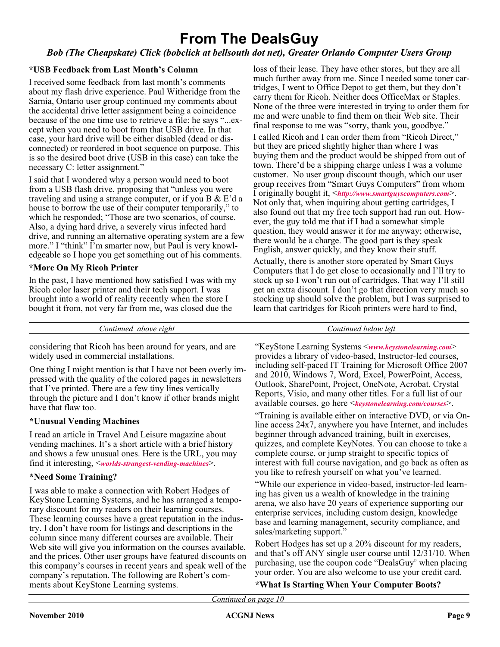### **From The DealsGuy**

#### *Bob (The Cheapskate) Click (bobclick at bellsouth dot net), Greater Orlando Computer Users Group*

#### **\*USB Feedback from Last Month's Column**

I received some feedback from last month's comments about my flash drive experience. Paul Witheridge from the Sarnia, Ontario user group continued my comments about the accidental drive letter assignment being a coincidence because of the one time use to retrieve a file: he says "...except when you need to boot from that USB drive. In that case, your hard drive will be either disabled (dead or disconnected) or reordered in boot sequence on purpose. This is so the desired boot drive (USB in this case) can take the necessary C: letter assignment."

I said that I wondered why a person would need to boot from a USB flash drive, proposing that "unless you were traveling and using a strange computer, or if you B & E'd a house to borrow the use of their computer temporarily," to which he responded; "Those are two scenarios, of course. Also, a dying hard drive, a severely virus infected hard drive, and running an alternative operating system are a few more." I "think" I'm smarter now, but Paul is very knowledgeable so I hope you get something out of his comments.

#### **\*More On My Ricoh Printer**

In the past, I have mentioned how satisfied I was with my Ricoh color laser printer and their tech support. I was brought into a world of reality recently when the store I bought it from, not very far from me, was closed due the

loss of their lease. They have other stores, but they are all much further away from me. Since I needed some toner cartridges, I went to Office Depot to get them, but they don't carry them for Ricoh. Neither does OfficeMax or Staples. None of the three were interested in trying to order them for me and were unable to find them on their Web site. Their final response to me was "sorry, thank you, goodbye."

I called Ricoh and I can order them from "Ricoh Direct," but they are priced slightly higher than where I was buying them and the product would be shipped from out of town. There'd be a shipping charge unless I was a volume customer. No user group discount though, which our user group receives from "Smart Guys Computers" from whom I originally bought it, <*<http://www.smartguyscomputers.com>*>. Not only that, when inquiring about getting cartridges, I also found out that my free tech support had run out. However, the guy told me that if I had a somewhat simple question, they would answer it for me anyway; otherwise, there would be a charge. The good part is they speak English, answer quickly, and they know their stuff.

Actually, there is another store operated by Smart Guys Computers that I do get close to occasionally and I'll try to stock up so I won't run out of cartridges. That way I'll still get an extra discount. I don't go that direction very much so stocking up should solve the problem, but I was surprised to learn that cartridges for Ricoh printers were hard to find,

*Continued above right Continued below left*

considering that Ricoh has been around for years, and are widely used in commercial installations.

One thing I might mention is that I have not been overly impressed with the quality of the colored pages in newsletters that I've printed. There are a few tiny lines vertically through the picture and I don't know if other brands might have that flaw too.

#### **\*Unusual Vending Machines**

I read an article in Travel And Leisure magazine about vending machines. It's a short article with a brief history and shows a few unusual ones. Here is the URL, you may find it interesting, <*[worlds-strangest-vending-machines](http://www.travelandleisure.com/articles/worlds-strangest-vending-machines/1)*>.

#### **\*Need Some Training?**

I was able to make a connection with Robert Hodges of KeyStone Learning Systems, and he has arranged a temporary discount for my readers on their learning courses. These learning courses have a great reputation in the industry. I don't have room for listings and descriptions in the column since many different courses are available. Their Web site will give you information on the courses available, and the prices. Other user groups have featured discounts on this company's courses in recent years and speak well of the company's reputation. The following are Robert's comments about KeyStone Learning systems.

"KeyStone Learning Systems <*[www.keystonelearning.com](http://www.keystonelearning.com)*> provides a library of video-based, Instructor-led courses, including self-paced IT Training for Microsoft Office 2007 and 2010, Windows 7, Word, Excel, PowerPoint, Access, Outlook, SharePoint, Project, OneNote, Acrobat, Crystal Reports, Visio, and many other titles. For a full list of our available courses, go here <*[keystonelearning.com/courses](http://www.keystonelearning.com/courses)*>.

"Training is available either on interactive DVD, or via Online access 24x7, anywhere you have Internet, and includes beginner through advanced training, built in exercises, quizzes, and complete KeyNotes. You can choose to take a complete course, or jump straight to specific topics of interest with full course navigation, and go back as often as you like to refresh yourself on what you've learned.

"While our experience in video-based, instructor-led learning has given us a wealth of knowledge in the training arena, we also have 20 years of experience supporting our enterprise services, including custom design, knowledge base and learning management, security compliance, and sales/marketing support."

Robert Hodges has set up a 20% discount for my readers, and that's off ANY single user course until 12/31/10. When purchasing, use the coupon code "DealsGuy" when placing your order. You are also welcome to use your credit card.

**\*What Is Starting When Your Computer Boots?**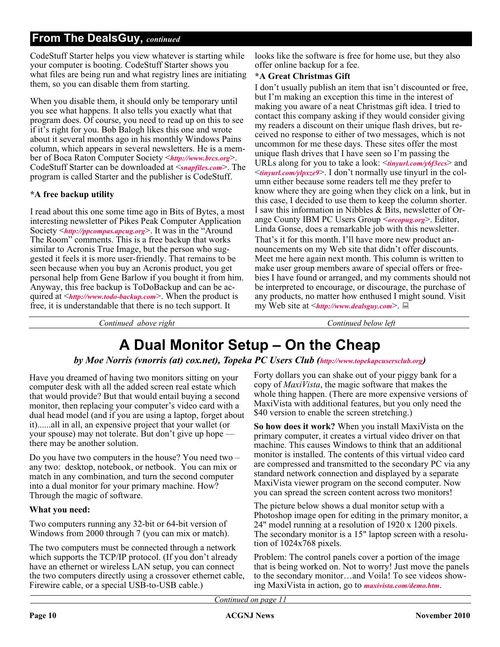#### **From The DealsGuy,** *continued*

CodeStuff Starter helps you view whatever is starting while your computer is booting. CodeStuff Starter shows you what files are being run and what registry lines are initiating them, so you can disable them from starting.

When you disable them, it should only be temporary until you see what happens. It also tells you exactly what that program does. Of course, you need to read up on this to see if it's right for you. Bob Balogh likes this one and wrote about it several months ago in his monthly Windows Pains column, which appears in several newsletters. He is a member of Boca Raton Computer Society <*<http://www.brcs.org>*>. CodeStuff Starter can be downloaded at <*[snapfiles.com](http://www.snapfiles.com/get/starter.html)*>. The program is called Starter and the publisher is CodeStuff.

#### **\*A free backup utility**

I read about this one some time ago in Bits of Bytes, a most interesting newsletter of Pikes Peak Computer Application Society <*<http://ppcompas.apcug.org>*>. It was in the "Around The Room" comments. This is a free backup that works similar to Acronis True Image, but the person who suggested it feels it is more user-friendly. That remains to be seen because when you buy an Acronis product, you get personal help from Gene Barlow if you bought it from him. Anyway, this free backup is ToDoBackup and can be acquired at <*<http://www.todo-backup.com>*>. When the product is free, it is understandable that there is no tech support. It

looks like the software is free for home use, but they also offer online backup for a fee.

#### **\*A Great Christmas Gift**

I don't usually publish an item that isn't discounted or free, but I'm making an exception this time in the interest of making you aware of a neat Christmas gift idea. I tried to contact this company asking if they would consider giving my readers a discount on their unique flash drives, but received no response to either of two messages, which is not uncommon for me these days. These sites offer the most unique flash drives that I have seen so I'm passing the URLs along for you to take a look: <*[tinyurl.com/y6f3ecs](http://tinyurl.com/y6f3ecs)*> and <*[tinyurl.com/ylpxze9](http://tinyurl.com/ylpxze9)*>. I don't normally use tinyurl in the column either because some readers tell me they prefer to know where they are going when they click on a link, but in this case, I decided to use them to keep the column shorter. I saw this information in Nibbles & Bits, newsletter of Orange County IBM PC Users Group <*[orcopug.org](http://www.orcopug.org)*>. Editor, Linda Gonse, does a remarkable job with this newsletter. That's it for this month. I'll have more new product announcements on my Web site that didn't offer discounts. Meet me here again next month. This column is written to make user group members aware of special offers or freebies I have found or arranged, and my comments should not be interpreted to encourage, or discourage, the purchase of any products, no matter how enthused I might sound. Visit my Web site at <*<http://www.dealsguy.com>*>.

*Continued above right Continued below left*

### **A Dual Monitor Setup – On the Cheap**

#### *by Moe Norris (vnorris (at) cox.net), Topeka PC Users Club [\(http://www.topekapcusersclub.org\)](http://www.topekapcusersclub.org)*

Have you dreamed of having two monitors sitting on your computer desk with all the added screen real estate which that would provide? But that would entail buying a second monitor, then replacing your computer's video card with a dual head model (and if you are using a laptop, forget about it)......all in all, an expensive project that your wallet (or your spouse) may not tolerate. But don't give up hope there may be another solution.

Do you have two computers in the house? You need two – any two: desktop, notebook, or netbook. You can mix or match in any combination, and turn the second computer into a dual monitor for your primary machine. How? Through the magic of software.

#### **What you need:**

Two computers running any 32-bit or 64-bit version of Windows from 2000 through 7 (you can mix or match).

The two computers must be connected through a network which supports the TCP/IP protocol. (If you don't already have an ethernet or wireless LAN setup, you can connect the two computers directly using a crossover ethernet cable, Firewire cable, or a special USB-to-USB cable.)

Forty dollars you can shake out of your piggy bank for a copy of *MaxiVista*, the magic software that makes the whole thing happen. (There are more expensive versions of MaxiVista with additional features, but you only need the \$40 version to enable the screen stretching.)

**So how does it work?** When you install MaxiVista on the primary computer, it creates a virtual video driver on that machine. This causes Windows to think that an additional monitor is installed. The contents of this virtual video card are compressed and transmitted to the secondary PC via any standard network connection and displayed by a separate MaxiVista viewer program on the second computer. Now you can spread the screen content across two monitors!

The picture below shows a dual monitor setup with a Photoshop image open for editing in the primary monitor, a 24" model running at a resolution of 1920 x 1200 pixels. The secondary monitor is a 15" laptop screen with a resolution of 1024x768 pixels.

Problem: The control panels cover a portion of the image that is being worked on. Not to worry! Just move the panels to the secondary monitor…and Voila! To see videos showing MaxiVista in action, go to *[maxivista.com/demo.htm](http://www.maxivista.com/demo.htm)*.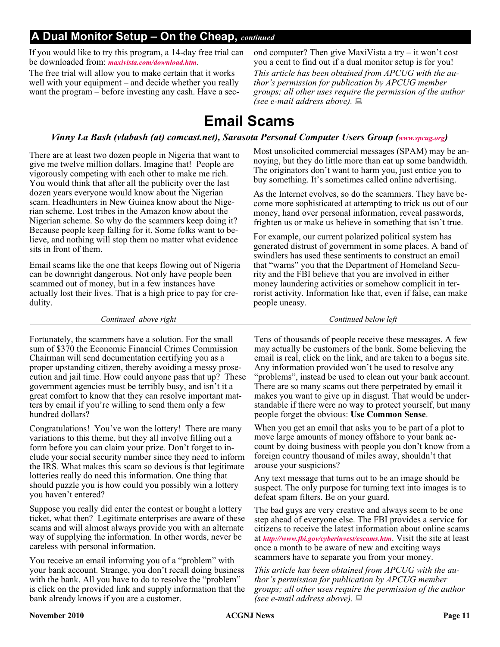### **A Dual Monitor Setup – On the Cheap,** *continued*

If you would like to try this program, a 14-day free trial can be downloaded from: *[maxivista.com/download.htm](http://www.maxivista.com/download.htm)*.

The free trial will allow you to make certain that it works well with your equipment – and decide whether you really want the program – before investing any cash. Have a second computer? Then give MaxiVista a try – it won't cost you a cent to find out if a dual monitor setup is for you! *This article has been obtained from APCUG with the author's permission for publication by APCUG member groups; all other uses require the permission of the author (see e-mail address above).*

### **Email Scams**

#### *Vinny La Bash (vlabash (at) comcast.net), Sarasota Personal Computer Users Group ([www.spcug.org\)](http://www.spcug.org)*

There are at least two dozen people in Nigeria that want to give me twelve million dollars. Imagine that! People are vigorously competing with each other to make me rich. You would think that after all the publicity over the last dozen years everyone would know about the Nigerian scam. Headhunters in New Guinea know about the Nigerian scheme. Lost tribes in the Amazon know about the Nigerian scheme. So why do the scammers keep doing it? Because people keep falling for it. Some folks want to believe, and nothing will stop them no matter what evidence sits in front of them.

Email scams like the one that keeps flowing out of Nigeria can be downright dangerous. Not only have people been scammed out of money, but in a few instances have actually lost their lives. That is a high price to pay for credulity.

Most unsolicited commercial messages (SPAM) may be annoying, but they do little more than eat up some bandwidth. The originators don't want to harm you, just entice you to buy something. It's sometimes called online advertising.

As the Internet evolves, so do the scammers. They have become more sophisticated at attempting to trick us out of our money, hand over personal information, reveal passwords, frighten us or make us believe in something that isn't true.

For example, our current polarized political system has generated distrust of government in some places. A band of swindlers has used these sentiments to construct an email that "warns" you that the Department of Homeland Security and the FBI believe that you are involved in either money laundering activities or somehow complicit in terrorist activity. Information like that, even if false, can make people uneasy.

| lett<br>above right<br>. below<br>continued<br>. ontinued |  |
|-----------------------------------------------------------|--|
|-----------------------------------------------------------|--|

Fortunately, the scammers have a solution. For the small sum of \$370 the Economic Financial Crimes Commission Chairman will send documentation certifying you as a proper upstanding citizen, thereby avoiding a messy prosecution and jail time. How could anyone pass that up? These government agencies must be terribly busy, and isn't it a great comfort to know that they can resolve important matters by email if you're willing to send them only a few hundred dollars?

Congratulations! You've won the lottery! There are many variations to this theme, but they all involve filling out a form before you can claim your prize. Don't forget to include your social security number since they need to inform the IRS. What makes this scam so devious is that legitimate lotteries really do need this information. One thing that should puzzle you is how could you possibly win a lottery you haven't entered?

Suppose you really did enter the contest or bought a lottery ticket, what then? Legitimate enterprises are aware of these scams and will almost always provide you with an alternate way of supplying the information. In other words, never be careless with personal information.

You receive an email informing you of a "problem" with your bank account. Strange, you don't recall doing business with the bank. All you have to do to resolve the "problem" is click on the provided link and supply information that the bank already knows if you are a customer.

Tens of thousands of people receive these messages. A few may actually be customers of the bank. Some believing the email is real, click on the link, and are taken to a bogus site. Any information provided won't be used to resolve any "problems", instead be used to clean out your bank account. There are so many scams out there perpetrated by email it makes you want to give up in disgust. That would be understandable if there were no way to protect yourself, but many people forget the obvious: **Use Common Sense**.

When you get an email that asks you to be part of a plot to move large amounts of money offshore to your bank account by doing business with people you don't know from a foreign country thousand of miles away, shouldn't that arouse your suspicions?

Any text message that turns out to be an image should be suspect. The only purpose for turning text into images is to defeat spam filters. Be on your guard.

The bad guys are very creative and always seem to be one step ahead of everyone else. The FBI provides a service for citizens to receive the latest information about online scams at *<http://www.fbi.gov/cyberinvest/escams.htm>*. Visit the site at least once a month to be aware of new and exciting ways scammers have to separate you from your money.

*This article has been obtained from APCUG with the author's permission for publication by APCUG member groups; all other uses require the permission of the author (see e-mail address above).*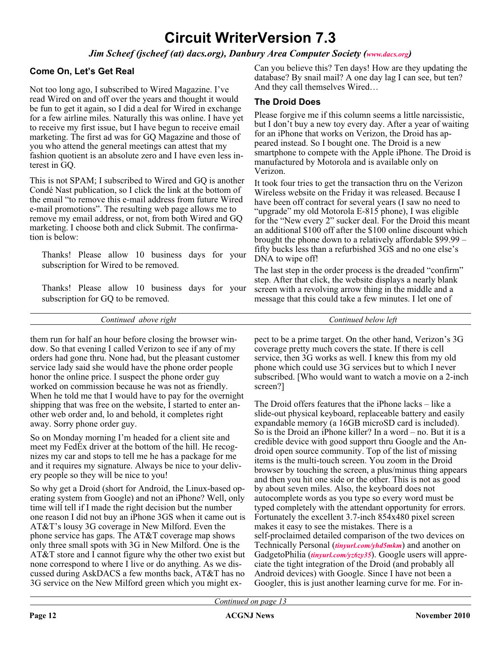### **Circuit WriterVersion 7.3**

*Jim Scheef (jscheef (at) dacs.org), Danbury Area Computer Society [\(www.dacs.org](http://www.dacs.org))* 

#### **Come On, Let's Get Real**

Not too long ago, I subscribed to Wired Magazine. I've read Wired on and off over the years and thought it would be fun to get it again, so I did a deal for Wired in exchange for a few airline miles. Naturally this was online. I have yet to receive my first issue, but I have begun to receive email marketing. The first ad was for GQ Magazine and those of you who attend the general meetings can attest that my fashion quotient is an absolute zero and I have even less interest in GQ.

This is not SPAM; I subscribed to Wired and GQ is another Condé Nast publication, so I click the link at the bottom of the email "to remove this e-mail address from future Wired e-mail promotions". The resulting web page allows me to remove my email address, or not, from both Wired and GQ marketing. I choose both and click Submit. The confirmation is below:

Thanks! Please allow 10 business days for your subscription for Wired to be removed.

Thanks! Please allow 10 business days for your subscription for GQ to be removed.

Can you believe this? Ten days! How are they updating the database? By snail mail? A one day lag I can see, but ten? And they call themselves Wired…

#### **The Droid Does**

Please forgive me if this column seems a little narcissistic, but I don't buy a new toy every day. After a year of waiting for an iPhone that works on Verizon, the Droid has appeared instead. So I bought one. The Droid is a new smartphone to compete with the Apple iPhone. The Droid is manufactured by Motorola and is available only on Verizon.

It took four tries to get the transaction thru on the Verizon Wireless website on the Friday it was released. Because I have been off contract for several years (I saw no need to "upgrade" my old Motorola E-815 phone), I was eligible for the "New every 2" sucker deal. For the Droid this meant an additional \$100 off after the \$100 online discount which brought the phone down to a relatively affordable \$99.99 – fifty bucks less than a refurbished 3GS and no one else's DNA to wipe off!

The last step in the order process is the dreaded "confirm" step. After that click, the website displays a nearly blank screen with a revolving arrow thing in the middle and a message that this could take a few minutes. I let one of

*Continued above right Continued below left*

them run for half an hour before closing the browser window. So that evening I called Verizon to see if any of my orders had gone thru. None had, but the pleasant customer service lady said she would have the phone order people honor the online price. I suspect the phone order guy worked on commission because he was not as friendly. When he told me that I would have to pay for the overnight shipping that was free on the website, I started to enter another web order and, lo and behold, it completes right away. Sorry phone order guy.

So on Monday morning I'm headed for a client site and meet my FedEx driver at the bottom of the hill. He recognizes my car and stops to tell me he has a package for me and it requires my signature. Always be nice to your delivery people so they will be nice to you!

So why get a Droid (short for Android, the Linux-based operating system from Google) and not an iPhone? Well, only time will tell if I made the right decision but the number one reason I did not buy an iPhone 3GS when it came out is AT&T's lousy 3G coverage in New Milford. Even the phone service has gaps. The AT&T coverage map shows only three small spots with 3G in New Milford. One is the AT&T store and I cannot figure why the other two exist but none correspond to where I live or do anything. As we discussed during AskDACS a few months back, AT&T has no 3G service on the New Milford green which you might expect to be a prime target. On the other hand, Verizon's 3G coverage pretty much covers the state. If there is cell service, then 3G works as well. I knew this from my old phone which could use 3G services but to which I never subscribed. [Who would want to watch a movie on a 2-inch screen?]

The Droid offers features that the iPhone lacks – like a slide-out physical keyboard, replaceable battery and easily expandable memory (a 16GB microSD card is included). So is the Droid an iPhone killer? In a word – no. But it is a credible device with good support thru Google and the Android open source community. Top of the list of missing items is the multi-touch screen. You zoom in the Droid browser by touching the screen, a plus/minus thing appears and then you hit one side or the other. This is not as good by about seven miles. Also, the keyboard does not autocomplete words as you type so every word must be typed completely with the attendant opportunity for errors. Fortunately the excellent 3.7-inch 854x480 pixel screen makes it easy to see the mistakes. There is a self-proclaimed detailed comparison of the two devices on Technically Personal (*[tinyurl.com/yhd5mkm](http://tinyurl.com/yhd5mkm)*) and another on GadgetoPhilia (*[tinyurl.com/yz6zy35](http://tinyurl.com/yz6zy35)*). Google users will appreciate the tight integration of the Droid (and probably all Android devices) with Google. Since I have not been a Googler, this is just another learning curve for me. For in-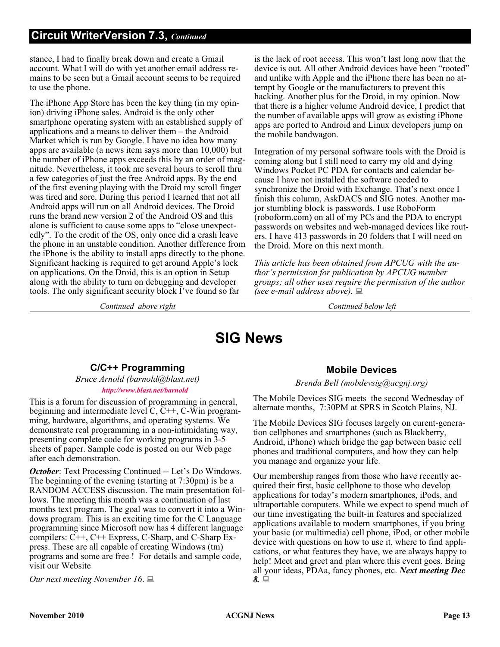stance, I had to finally break down and create a Gmail account. What I will do with yet another email address remains to be seen but a Gmail account seems to be required to use the phone.

The iPhone App Store has been the key thing (in my opinion) driving iPhone sales. Android is the only other smartphone operating system with an established supply of applications and a means to deliver them – the Android Market which is run by Google. I have no idea how many apps are available (a news item says more than 10,000) but the number of iPhone apps exceeds this by an order of magnitude. Nevertheless, it took me several hours to scroll thru a few categories of just the free Android apps. By the end of the first evening playing with the Droid my scroll finger was tired and sore. During this period I learned that not all Android apps will run on all Android devices. The Droid runs the brand new version 2 of the Android OS and this alone is sufficient to cause some apps to "close unexpectedly". To the credit of the OS, only once did a crash leave the phone in an unstable condition. Another difference from the iPhone is the ability to install apps directly to the phone. Significant hacking is required to get around Apple's lock on applications. On the Droid, this is an option in Setup along with the ability to turn on debugging and developer tools. The only significant security block I've found so far

is the lack of root access. This won't last long now that the device is out. All other Android devices have been "rooted" and unlike with Apple and the iPhone there has been no attempt by Google or the manufacturers to prevent this hacking. Another plus for the Droid, in my opinion. Now that there is a higher volume Android device, I predict that the number of available apps will grow as existing iPhone apps are ported to Android and Linux developers jump on the mobile bandwagon.

Integration of my personal software tools with the Droid is coming along but I still need to carry my old and dying Windows Pocket PC PDA for contacts and calendar because I have not installed the software needed to synchronize the Droid with Exchange. That's next once I finish this column, AskDACS and SIG notes. Another major stumbling block is passwords. I use RoboForm (roboform.com) on all of my PCs and the PDA to encrypt passwords on websites and web-managed devices like routers. I have 413 passwords in 20 folders that I will need on the Droid. More on this next month.

*This article has been obtained from APCUG with the author's permission for publication by APCUG member groups; all other uses require the permission of the author (see e-mail address above).*

*Continued above right Continued below left*

### **SIG News**

#### **C/C++ Programming**

*Bruce Arnold (barnold@blast.net) <http://www.blast.net/barnold>*

This is a forum for discussion of programming in general, beginning and intermediate level  $C, C++, C-W$  in programming, hardware, algorithms, and operating systems. We demonstrate real programming in a non-intimidating way, presenting complete code for working programs in 3-5 sheets of paper. Sample code is posted on our Web page after each demonstration.

*October*: Text Processing Continued -- Let's Do Windows. The beginning of the evening (starting at 7:30pm) is be a RANDOM ACCESS discussion. The main presentation follows. The meeting this month was a continuation of last months text program. The goal was to convert it into a Windows program. This is an exciting time for the C Language programming since Microsoft now has 4 different language compilers: C++, C++ Express, C-Sharp, and C-Sharp Express. These are all capable of creating Windows (tm) programs and some are free ! For details and sample code, visit our Website

*Our next meeting November 16*.

#### **Mobile Devices**

#### *Brenda Bell (mobdevsig@acgnj.org)*

The Mobile Devices SIG meets the second Wednesday of alternate months, 7:30PM at SPRS in Scotch Plains, NJ.

The Mobile Devices SIG focuses largely on curent-generation cellphones and smartphones (such as Blackberry, Android, iPhone) which bridge the gap between basic cell phones and traditional computers, and how they can help you manage and organize your life.

Our membership ranges from those who have recently acquired their first, basic cellphone to those who develop applications for today's modern smartphones, iPods, and ultraportable computers. While we expect to spend much of our time investigating the built-in features and specialized applications available to modern smartphones, if you bring your basic (or multimedia) cell phone, iPod, or other mobile device with questions on how to use it, where to find applications, or what features they have, we are always happy to help! Meet and greet and plan where this event goes. Bring all your ideas, PDAa, fancy phones, etc. *Next meeting Dec 8.*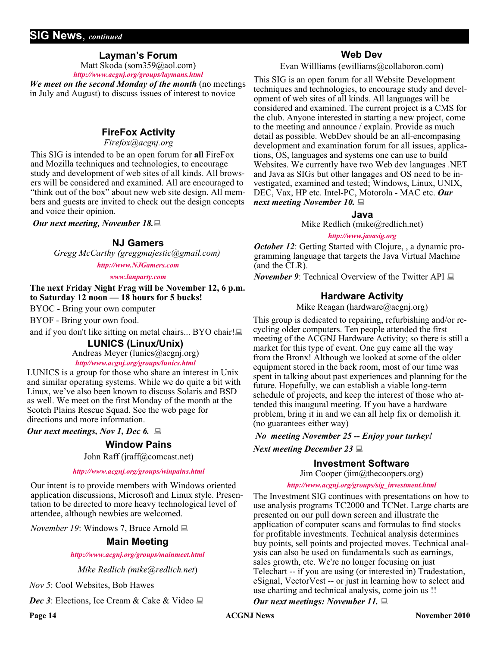#### **SIG News**, *continued*

#### **Layman's Forum**

Matt Skoda (som359@aol.com) *<http://www.acgnj.org/groups/laymans.html>*

*We meet on the second Monday of the month* (no meetings in July and August) to discuss issues of interest to novice

#### **FireFox Activity**

*Firefox@acgnj.org*

This SIG is intended to be an open forum for **all** FireFox and Mozilla techniques and technologies, to encourage study and development of web sites of all kinds. All browsers will be considered and examined. All are encouraged to "think out of the box" about new web site design. All members and guests are invited to check out the design concepts and voice their opinion.

*Our next meeting, November 18.*

#### **NJ Gamers**

*Gregg McCarthy (greggmajestic@gmail.com)*

*<http://www.NJGamers.com>*

#### *[www.lanparty.com](http://www.lanparty.com)*

**The next Friday Night Frag will be November 12, 6 p.m. to Saturday 12 noon — 18 hours for 5 bucks!**

BYOC - Bring your own computer

BYOF - Bring your own food.

and if you don't like sitting on metal chairs... BYO chair!

#### **LUNICS (Linux/Unix)**

Andreas Meyer (lunics@acgnj.org)

#### *<http//www.acgnj.org/groups/lunics.html>*

LUNICS is a group for those who share an interest in Unix and similar operating systems. While we do quite a bit with Linux, we've also been known to discuss Solaris and BSD as well. We meet on the first Monday of the month at the Scotch Plains Rescue Squad. See the web page for directions and more information.

*Our next meetings, Nov 1, Dec 6.*

#### **Window Pains**

John Raff (jraff@comcast.net)

#### *<http://www.acgnj.org/groups/winpains.html>*

Our intent is to provide members with Windows oriented application discussions, Microsoft and Linux style. Presentation to be directed to more heavy technological level of attendee, although newbies are welcomed.

*November 19*: Windows 7, Bruce Arnold **■** 

#### **Main Meeting**

#### *<http://www.acgnj.org/groups/mainmeet.html>*

*Mike Redlich (mike@redlich.net*)

*Nov 5*: Cool Websites, Bob Hawes

*Dec 3*: Elections, Ice Cream & Cake & Video ■

#### **Web Dev**

Evan Willliams (ewilliams@collaboron.com)

This SIG is an open forum for all Website Development techniques and technologies, to encourage study and development of web sites of all kinds. All languages will be considered and examined. The current project is a CMS for the club. Anyone interested in starting a new project, come to the meeting and announce / explain. Provide as much detail as possible. WebDev should be an all-encompasing development and examination forum for all issues, applications, OS, languages and systems one can use to build Websites. We currently have two Web dev languages .NET and Java as SIGs but other langages and OS need to be investigated, examined and tested; Windows, Linux, UNIX, DEC, Vax, HP etc. Intel-PC, Motorola - MAC etc. *Our next meeting November 10.*

#### **Java**

Mike Redlich (mike@redlich.net)

#### *<http://www.javasig.org>*

*October 12*: Getting Started with Clojure, , a dynamic programming language that targets the Java Virtual Machine (and the CLR).

*November 9:* Technical Overview of the Twitter API

#### **Hardware Activity**

Mike Reagan (hardware@acgnj.org)

This group is dedicated to repairing, refurbishing and/or recycling older computers. Ten people attended the first meeting of the ACGNJ Hardware Activity; so there is still a market for this type of event. One guy came all the way from the Bronx! Although we looked at some of the older equipment stored in the back room, most of our time was spent in talking about past experiences and planning for the future. Hopefully, we can establish a viable long-term schedule of projects, and keep the interest of those who attended this inaugural meeting. If you have a hardware problem, bring it in and we can all help fix or demolish it. (no guarantees either way)

#### *No meeting November 25 -- Enjoy your turkey!*

*Next meeting December 23*

#### **Investment Software**

Jim Cooper (jim@thecoopers.org)

#### *[http://www.acgnj.org/groups/sig\\_investment.html](http://www.acgnj.org/groups/sig_investment.html)*

The Investment SIG continues with presentations on how to use analysis programs TC2000 and TCNet. Large charts are presented on our pull down screen and illustrate the application of computer scans and formulas to find stocks for profitable investments. Technical analysis determines buy points, sell points and projected moves. Technical analysis can also be used on fundamentals such as earnings, sales growth, etc. We're no longer focusing on just Telechart -- if you are using (or interested in) Tradestation, eSignal, VectorVest -- or just in learning how to select and use charting and technical analysis, come join us !!

#### *Our next meetings: November 11.*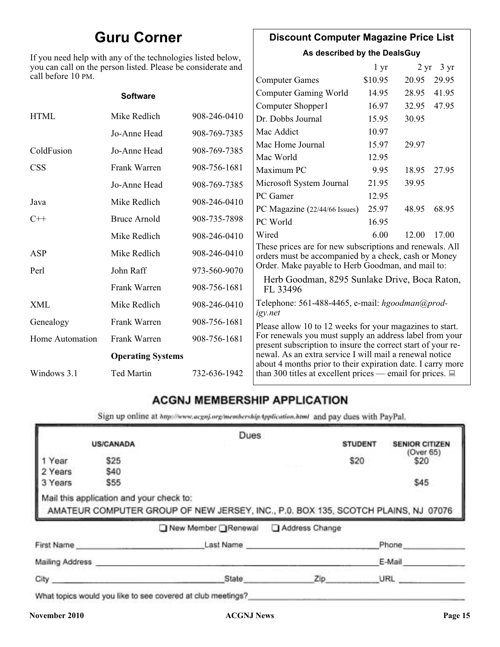### **Guru Corner**

If you need help with any of the technologies listed below, you can call on the person listed. Please be considerate and

#### **Discount Computer Magazine Price List**

**As described by the DealsGuy**

| you can call on the person listed. Please be considerate and<br>call before 10 PM. |                          |              | $1 \, yr$                                                                                                               |         | $2 \text{ yr}$ 3 yr |       |
|------------------------------------------------------------------------------------|--------------------------|--------------|-------------------------------------------------------------------------------------------------------------------------|---------|---------------------|-------|
|                                                                                    |                          |              | <b>Computer Games</b>                                                                                                   | \$10.95 | 20.95               | 29.95 |
|                                                                                    | <b>Software</b>          |              | <b>Computer Gaming World</b>                                                                                            | 14.95   | 28.95               | 41.95 |
|                                                                                    |                          |              | Computer Shopper1                                                                                                       | 16.97   | 32.95               | 47.95 |
| <b>HTML</b>                                                                        | Mike Redlich             | 908-246-0410 | Dr. Dobbs Journal                                                                                                       | 15.95   | 30.95               |       |
|                                                                                    | Jo-Anne Head             | 908-769-7385 | Mac Addict                                                                                                              | 10.97   |                     |       |
| ColdFusion                                                                         | Jo-Anne Head             | 908-769-7385 | Mac Home Journal                                                                                                        | 15.97   | 29.97               |       |
|                                                                                    |                          |              | Mac World                                                                                                               | 12.95   |                     |       |
| <b>CSS</b>                                                                         | Frank Warren             | 908-756-1681 | Maximum PC                                                                                                              | 9.95    | 18.95               | 27.95 |
|                                                                                    | Jo-Anne Head             | 908-769-7385 | Microsoft System Journal                                                                                                | 21.95   | 39.95               |       |
| Java                                                                               | Mike Redlich             | 908-246-0410 | PC Gamer                                                                                                                | 12.95   |                     |       |
|                                                                                    |                          |              | PC Magazine (22/44/66 Issues)                                                                                           | 25.97   | 48.95               | 68.95 |
| $C++$                                                                              | <b>Bruce Arnold</b>      | 908-735-7898 | PC World                                                                                                                | 16.95   |                     |       |
|                                                                                    | Mike Redlich             | 908-246-0410 | Wired                                                                                                                   | 6.00    | 12.00               | 17.00 |
| ASP                                                                                | Mike Redlich             | 908-246-0410 | These prices are for new subscriptions and renewals. All<br>orders must be accompanied by a check, cash or Money        |         |                     |       |
| Perl                                                                               | John Raff                | 973-560-9070 | Order. Make payable to Herb Goodman, and mail to:                                                                       |         |                     |       |
|                                                                                    | Frank Warren             | 908-756-1681 | Herb Goodman, 8295 Sunlake Drive, Boca Raton,<br>FL 33496                                                               |         |                     |       |
| XML                                                                                | Mike Redlich             | 908-246-0410 | Telephone: 561-488-4465, e-mail: hgoodman@prod-<br>igy.net                                                              |         |                     |       |
| Genealogy                                                                          | Frank Warren             | 908-756-1681 | Please allow 10 to 12 weeks for your magazines to start.                                                                |         |                     |       |
| <b>Home Automation</b>                                                             | Frank Warren             | 908-756-1681 | For renewals you must supply an address label from your<br>present subscription to insure the correct start of your re- |         |                     |       |
|                                                                                    | <b>Operating Systems</b> |              | newal. As an extra service I will mail a renewal notice<br>about 4 months prior to their expiration date. I carry more  |         |                     |       |
| Windows 3.1                                                                        | Ted Martin               | 732-636-1942 | than 300 titles at excellent prices — email for prices. $\Box$                                                          |         |                     |       |

#### **ACGNJ MEMBERSHIP APPLICATION**

Sign up online at http://www.acguj.org/membershipApplication.html and pay dues with PayPal.

|                 |                                          | Dues                                                                              |                |                |                       |
|-----------------|------------------------------------------|-----------------------------------------------------------------------------------|----------------|----------------|-----------------------|
|                 | <b>US/CANADA</b>                         |                                                                                   |                | <b>STUDENT</b> | <b>SENIOR CITIZEN</b> |
| Year            | \$25                                     |                                                                                   |                | \$20           | (Over 65)<br>\$20     |
| 2 Years         | \$40                                     |                                                                                   |                |                |                       |
| 3 Years         | \$55                                     |                                                                                   |                |                | \$45                  |
|                 | Mail this application and your check to: | AMATEUR COMPUTER GROUP OF NEW JERSEY, INC., P.0. BOX 135, SCOTCH PLAINS, NJ 07076 |                |                |                       |
|                 |                                          | New Member Renewal                                                                | Address Change |                |                       |
| First Name      |                                          | Last Name                                                                         |                |                | Phone                 |
| Mailing Address |                                          |                                                                                   |                |                | E-Mail                |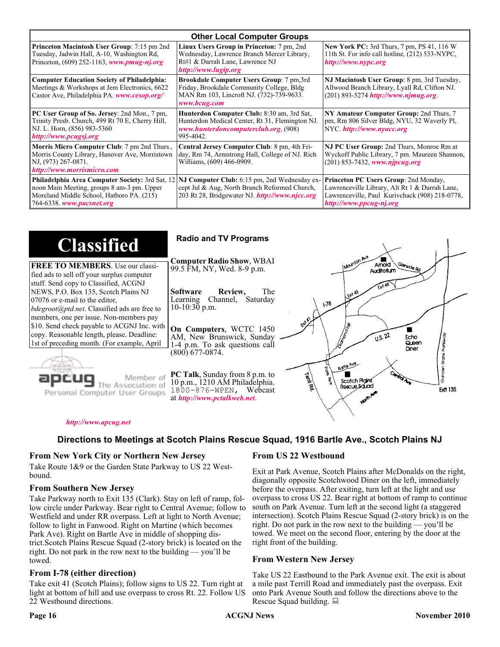| <b>Other Local Computer Groups</b>                                                                                                                                             |                                                                                                                                                           |                                                                                                                                                                      |  |
|--------------------------------------------------------------------------------------------------------------------------------------------------------------------------------|-----------------------------------------------------------------------------------------------------------------------------------------------------------|----------------------------------------------------------------------------------------------------------------------------------------------------------------------|--|
| <b>Princeton Macintosh User Group:</b> 7:15 pm 2nd<br>Tuesday, Jadwin Hall, A-10, Washington Rd,<br>Princeton, $(609)$ 252-1163, www.pmug-nj.org                               | Linux Users Group in Princeton: 7 pm, 2nd<br>Wednesday, Lawrence Branch Mercer Library,<br>Rt#1 & Darrah Lane, Lawrence NJ<br>http://www.lugip.org        | <b>New York PC:</b> 3rd Thurs, 7 pm, PS 41, 116 W<br>11th St. For info call hotline, (212) 533-NYPC,<br>http://www.nypc.org                                          |  |
| <b>Computer Education Society of Philadelphia:</b><br>Meetings & Workshops at Jem Electronics, 6622<br>Castor Ave, Philadelphia PA. www.cesop.org/                             | <b>Brookdale Computer Users Group:</b> 7 pm, 3rd<br>Friday, Brookdale Community College, Bldg<br>MAN Rm 103, Lincroft NJ. (732)-739-9633.<br>www.bcug.com | NJ Macintosh User Group: 8 pm, 3rd Tuesday,<br>Allwood Branch Library, Lyall Rd, Clifton NJ.<br>$(201) 893 - 5274$ http://www.njmug.org.                             |  |
| PC User Group of So. Jersey: 2nd Mon., 7 pm,<br>Trinity Presb. Church, 499 Rt 70 E, Cherry Hill,<br>NJ. L. Horn, (856) 983-5360<br>http://www.pcugsj.org                       | Hunterdon Computer Club: 8:30 am, 3rd Sat,<br>Hunterdon Medical Center, Rt 31, Flemington NJ.<br>www.hunterdoncomputerclub.org. (908)<br>995-4042.        | NY Amateur Computer Group: 2nd Thurs, 7<br>pm, Rm 806 Silver Bldg, NYU, 32 Waverly Pl,<br>NYC http://www.nyacc.org                                                   |  |
| Morris Micro Computer Club: 7 pm 2nd Thurs.,<br>Morris County Library, Hanover Ave, Morristown<br>NJ, (973) 267-0871.<br>http://www.morrismicro.com                            | Central Jersey Computer Club: 8 pm, 4th Fri-<br>day, Rm 74, Armstrong Hall, College of NJ. Rich<br>Williams, (609) 466-0909.                              | NJ PC User Group: 2nd Thurs, Monroe Rm at<br>Wyckoff Public Library, 7 pm. Maureen Shannon,<br>$(201)$ 853-7432, www.njpcug.org                                      |  |
| <b>Philadelphia Area Computer Society: 3rd Sat, 12</b><br>noon Main Meeting, groups 8 am-3 pm. Upper<br>Moreland Middle School, Hatboro PA. (215)<br>764-6338. www.pacsnet.org | NJ Computer Club: 6:15 pm, 2nd Wednesday ex-<br>cept Jul & Aug, North Branch Reformed Church,<br>203 Rt 28, Bridgewater NJ. http://www.njcc.org           | Princeton PC Users Group: 2nd Monday,<br>Lawrenceville Library, Alt Rt 1 & Darrah Lane,<br>Lawrenceville, Paul Kurivchack (908) 218-0778,<br>http://www.ppcug-nj.org |  |

| <b>Classified</b>                                                                                                                                                                                                 | <b>Radio and TV Programs</b>                                                                                                                                                                                                              |
|-------------------------------------------------------------------------------------------------------------------------------------------------------------------------------------------------------------------|-------------------------------------------------------------------------------------------------------------------------------------------------------------------------------------------------------------------------------------------|
| <b>FREE TO MEMBERS.</b> Use our classi-<br>fied ads to sell off your surplus computer                                                                                                                             | <b>Computer Radio Show, WBAI</b><br>Amold<br>Slenside Rd<br>99.5 FM, NY, Wed. 8-9 p.m.<br>Auditorium                                                                                                                                      |
| stuff. Send copy to Classified, ACGNJ<br>NEWS, P.O. Box 135, Scotch Plains NJ<br>07076 or e-mail to the editor,<br><i>bdegroot@ptd.net.</i> Classified ads are free to<br>members, one per issue. Non-members pay | <b>Software</b><br>Review,<br>The<br>LEXA A3<br>Learning Channel, Saturday<br>178<br>10-10:30 p.m.                                                                                                                                        |
| \$10. Send check payable to ACGNJ Inc. with<br>copy. Reasonable length, please. Deadline:<br>1st of preceding month. (For example, April                                                                          | On Computers, WCTC 1450<br>0.5.22<br>AM, New Brunswick, Sunday<br>Echo<br>Queen<br>1-4 p.m. To ask questions call<br>Diner<br>$(800)$ 677-0874.                                                                                           |
| Member of<br>Personal Computer User Groups                                                                                                                                                                        | Borlo Ave.<br>$C_{\rm{min}}$<br><b>PC Talk</b> , Sunday from 8 p.m. to<br>Term Rd.<br>Scotch Pigins<br>10 p.m., 1210 AM Philadelphia.<br>Rescue Sound<br><b>Ext1 135</b><br>$1800 - 876 - WPEN$ , Webcast<br>at http://www.pctalkweb.net. |

#### *<http://www.apcug.net>*

#### **Directions to Meetings at Scotch Plains Rescue Squad, 1916 Bartle Ave., Scotch Plains NJ**

#### **From New York City or Northern New Jersey**

Take Route 1&9 or the Garden State Parkway to US 22 Westbound.

#### **From Southern New Jersey**

Take Parkway north to Exit 135 (Clark). Stay on left of ramp, follow circle under Parkway. Bear right to Central Avenue; follow to Westfield and under RR overpass. Left at light to North Avenue; follow to light in Fanwood. Right on Martine (which becomes Park Ave). Right on Bartle Ave in middle of shopping district.Scotch Plains Rescue Squad (2-story brick) is located on the right. Do not park in the row next to the building — you'll be towed.

#### **From I-78 (either direction)**

Take exit 41 (Scotch Plains); follow signs to US 22. Turn right at light at bottom of hill and use overpass to cross Rt. 22. Follow US 22 Westbound directions.

#### **From US 22 Westbound**

 $\zeta$ 

Exit at Park Avenue, Scotch Plains after McDonalds on the right, diagonally opposite Scotchwood Diner on the left, immediately before the overpass. After exiting, turn left at the light and use overpass to cross US 22. Bear right at bottom of ramp to continue south on Park Avenue. Turn left at the second light (a staggered intersection). Scotch Plains Rescue Squad (2-story brick) is on the right. Do not park in the row next to the building — you'll be towed. We meet on the second floor, entering by the door at the right front of the building.

#### **From Western New Jersey**

Take US 22 Eastbound to the Park Avenue exit. The exit is about a mile past Terrill Road and immediately past the overpass. Exit onto Park Avenue South and follow the directions above to the Rescue Squad building.